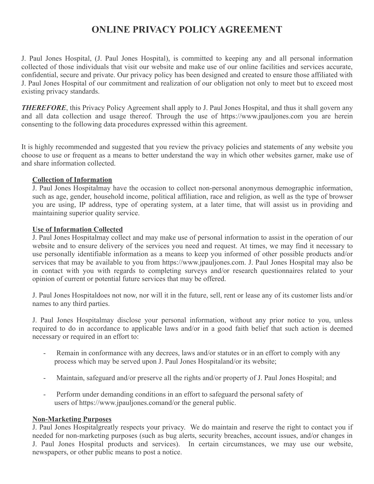# **ONLINE PRIVACY POLICY AGREEMENT**

J. Paul Jones Hospital, (J. Paul Jones Hospital), is committed to keeping any and all personal information collected of those individuals that visit our website and make use of our online facilities and services accurate, confidential, secure and private. Our privacy policy has been designed and created to ensure those affiliated with J. Paul Jones Hospital of our commitment and realization of our obligation not only to meet but to exceed most existing privacy standards.

**THEREFORE**, this Privacy Policy Agreement shall apply to J. Paul Jones Hospital, and thus it shall govern any and all data collection and usage thereof. Through the use of https://www.jpauljones.com you are herein consenting to the following data procedures expressed within this agreement.

It is highly recommended and suggested that you review the privacy policies and statements of any website you choose to use or frequent as a means to better understand the way in which other websites garner, make use of and share information collected.

#### **Collection of Information**

J. Paul Jones Hospitalmay have the occasion to collect non-personal anonymous demographic information, such as age, gender, household income, political affiliation, race and religion, as well as the type of browser you are using, IP address, type of operating system, at a later time, that will assist us in providing and maintaining superior quality service.

#### **Use of Information Collected**

J. Paul Jones Hospitalmay collect and may make use of personal information to assist in the operation of our website and to ensure delivery of the services you need and request. At times, we may find it necessary to use personally identifiable information as a means to keep you informed of other possible products and/or services that may be available to you from https://www.jpauljones.com. J. Paul Jones Hospital may also be in contact with you with regards to completing surveys and/or research questionnaires related to your opinion of current or potential future services that may be offered.

J. Paul Jones Hospitaldoes not now, nor will it in the future, sell, rent or lease any of its customer lists and/or names to any third parties.

J. Paul Jones Hospitalmay disclose your personal information, without any prior notice to you, unless required to do in accordance to applicable laws and/or in a good faith belief that such action is deemed necessary or required in an effort to:

- Remain in conformance with any decrees, laws and/or statutes or in an effort to comply with any process which may be served upon J. Paul Jones Hospitaland/or its website;
- Maintain, safeguard and/or preserve all the rights and/or property of J. Paul Jones Hospital; and
- Perform under demanding conditions in an effort to safeguard the personal safety of users of https://www.jpauljones.comand/or the general public.

#### **Non-Marketing Purposes**

J. Paul Jones Hospitalgreatly respects your privacy. We do maintain and reserve the right to contact you if needed for non-marketing purposes (such as bug alerts, security breaches, account issues, and/or changes in J. Paul Jones Hospital products and services). In certain circumstances, we may use our website, newspapers, or other public means to post a notice.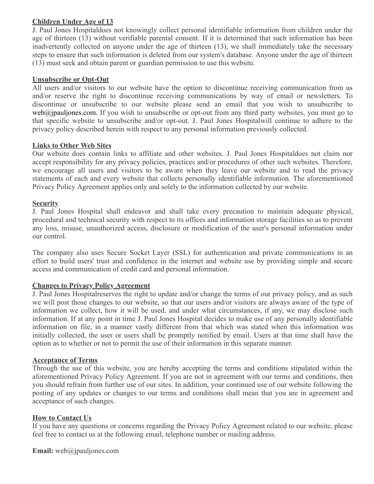# **Children Under Age of 13**

J. Paul Jones Hospitaldoes not knowingly collect personal identifiable information from children under the age of thirteen (13) without verifiable parental consent. If it is determined that such information has been inadvertently collected on anyone under the age of thirteen (13), we shall immediately take the necessary steps to ensure that such information is deleted from our system's database. Anyone under the age of thirteen (13) must seek and obtain parent or guardian permission to use this website.

### **Unsubscribe or Opt-Out**

All users and/or visitors to our website have the option to discontinue receiving communication from us and/or reserve the right to discontinue receiving communications by way of email or newsletters. To discontinue or unsubscribe to our website please send an email that you wish to unsubscribe to  $web@ipauljones.com.$  If you wish to unsubscribe or opt-out from any third party websites, you must go to that specific website to unsubscribe and/or opt-out. J. Paul Jones Hospitalwill continue to adhere to the privacy policy described herein with respect to any personal information previously collected.

#### **Links to Other Web Sites**

Our website does contain links to affiliate and other websites. J. Paul Jones Hospitaldoes not claim nor accept responsibility for any privacy policies, practices and/or procedures of other such websites. Therefore, we encourage all users and visitors to be aware when they leave our website and to read the privacy statements of each and every website that collects personally identifiable information. The aforementioned Privacy Policy Agreement applies only and solely to the information collected by our website.

#### **Security**

J. Paul Jones Hospital shall endeavor and shall take every precaution to maintain adequate physical, procedural and technical security with respect to its offices and information storage facilities so as to prevent any loss, misuse, unauthorized access, disclosure or modification of the user's personal information under our control.

The company also uses Secure Socket Layer (SSL) for authentication and private communications in an effort to build users' trust and confidence in the internet and website use by providing simple and secure access and communication of credit card and personal information.

# **Changes to Privacy Policy Agreement**

J. Paul Jones Hospitalreserves the right to update and/or change the terms of our privacy policy, and as such we will post those changes to our website, so that our users and/or visitors are always aware of the type of information we collect, how it will be used, and under what circumstances, if any, we may disclose such information. If at any point in time J. Paul Jones Hospital decides to make use of any personally identifiable information on file, in a manner vastly different from that which was stated when this information was initially collected, the user or users shall be promptly notified by email. Users at that time shall have the option as to whether or not to permit the use of their information in this separate manner.

#### **Acceptance of Terms**

Through the use of this website, you are hereby accepting the terms and conditions stipulated within the aforementioned Privacy Policy Agreement. If you are not in agreement with our terms and conditions, then you should refrain from further use of our sites. In addition, your continued use of our website following the posting of any updates or changes to our terms and conditions shall mean that you are in agreement and acceptance of such changes.

#### **How to Contact Us**

If you have any questions or concerns regarding the Privacy Policy Agreement related to our website, please feel free to contact us at the following email, telephone number or mailing address.

**Email:** web@jpauljones.com